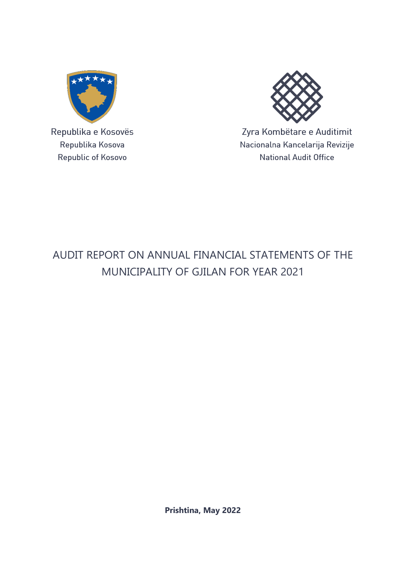

Republika e Kosovës Republika Kosova Republic of Kosovo



Zyra Kombëtare e Auditimit Nacionalna Kancelarija Revizije **National Audit Office** 

# AUDIT REPORT ON ANNUAL FINANCIAL STATEMENTS OF THE MUNICIPALITY OF GJILAN FOR YEAR 2021

**Prishtina, May 2022**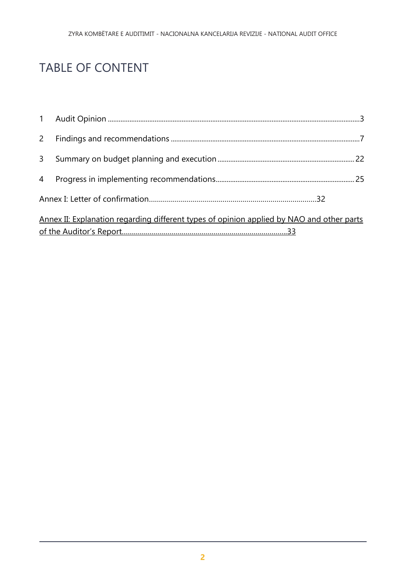# TABLE OF CONTENT

| $2^{\circ}$    |                                                                                           |  |
|----------------|-------------------------------------------------------------------------------------------|--|
| 3 <sup>7</sup> |                                                                                           |  |
|                |                                                                                           |  |
|                |                                                                                           |  |
|                | Annex II: Explanation regarding different types of opinion applied by NAO and other parts |  |
|                |                                                                                           |  |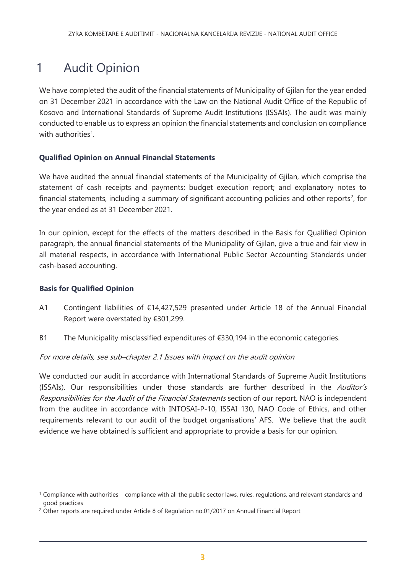# <span id="page-2-0"></span>1 Audit Opinion

We have completed the audit of the financial statements of Municipality of Gjilan for the year ended on 31 December 2021 in accordance with the Law on the National Audit Office of the Republic of Kosovo and International Standards of Supreme Audit Institutions (ISSAIs). The audit was mainly conducted to enable us to express an opinion the financial statements and conclusion on compliance with authorities<sup>1</sup>.

### **Qualified Opinion on Annual Financial Statements**

We have audited the annual financial statements of the Municipality of Gjilan, which comprise the statement of cash receipts and payments; budget execution report; and explanatory notes to financial statements, including a summary of significant accounting policies and other reports<sup>2</sup>, for the year ended as at 31 December 2021.

In our opinion, except for the effects of the matters described in the Basis for Qualified Opinion paragraph, the annual financial statements of the Municipality of Gjilan, give a true and fair view in all material respects, in accordance with International Public Sector Accounting Standards under cash-based accounting.

#### **Basis for Qualified Opinion**

 $\overline{a}$ 

- A1 Contingent liabilities of €14,427,529 presented under Article 18 of the Annual Financial Report were overstated by €301,299.
- B1 The Municipality misclassified expenditures of €330,194 in the economic categories.

For more details, see sub–chapter 2.1 Issues with impact on the audit opinion

We conducted our audit in accordance with International Standards of Supreme Audit Institutions (ISSAIs). Our responsibilities under those standards are further described in the *Auditor's* Responsibilities for the Audit of the Financial Statements section of our report. NAO is independent from the auditee in accordance with INTOSAI-P-10, ISSAI 130, NAO Code of Ethics, and other requirements relevant to our audit of the budget organisations' AFS. We believe that the audit evidence we have obtained is sufficient and appropriate to provide a basis for our opinion.

<sup>1</sup> Compliance with authorities – compliance with all the public sector laws, rules, regulations, and relevant standards and good practices

<sup>&</sup>lt;sup>2</sup> Other reports are required under Article 8 of Regulation no.01/2017 on Annual Financial Report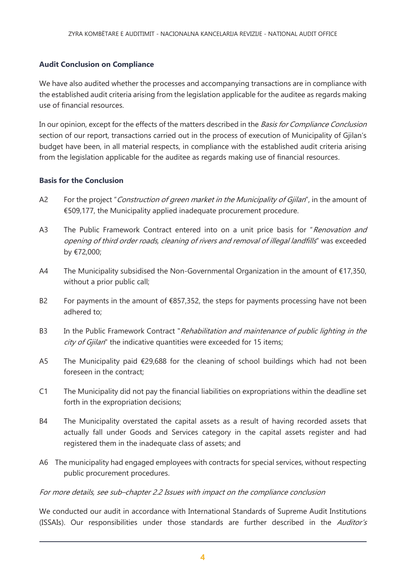### **Audit Conclusion on Compliance**

We have also audited whether the processes and accompanying transactions are in compliance with the established audit criteria arising from the legislation applicable for the auditee as regards making use of financial resources.

In our opinion, except for the effects of the matters described in the Basis for Compliance Conclusion section of our report, transactions carried out in the process of execution of Municipality of Gjilan's budget have been, in all material respects, in compliance with the established audit criteria arising from the legislation applicable for the auditee as regards making use of financial resources.

#### **Basis for the Conclusion**

- A2 For the project "Construction of green market in the Municipality of Gjilan", in the amount of €509,177, the Municipality applied inadequate procurement procedure.
- A3 The Public Framework Contract entered into on a unit price basis for "Renovation and opening of third order roads, cleaning of rivers and removal of illegal landfills" was exceeded by €72,000;
- A4 The Municipality subsidised the Non-Governmental Organization in the amount of €17,350, without a prior public call;
- B2 For payments in the amount of  $\epsilon$ 857,352, the steps for payments processing have not been adhered to;
- B3 In the Public Framework Contract "Rehabilitation and maintenance of public lighting in the  $city$  of Gjilan" the indicative quantities were exceeded for 15 items;
- A5 The Municipality paid €29,688 for the cleaning of school buildings which had not been foreseen in the contract;
- C1 The Municipality did not pay the financial liabilities on expropriations within the deadline set forth in the expropriation decisions;
- B4 The Municipality overstated the capital assets as a result of having recorded assets that actually fall under Goods and Services category in the capital assets register and had registered them in the inadequate class of assets; and
- A6 The municipality had engaged employees with contracts for special services, without respecting public procurement procedures.

#### For more details, see sub–chapter 2.2 Issues with impact on the compliance conclusion

We conducted our audit in accordance with International Standards of Supreme Audit Institutions (ISSAIs). Our responsibilities under those standards are further described in the Auditor's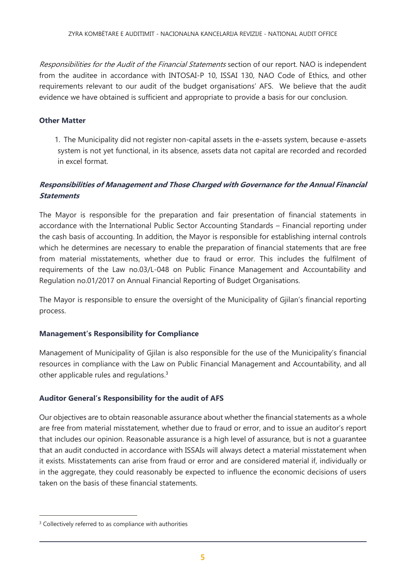Responsibilities for the Audit of the Financial Statements section of our report. NAO is independent from the auditee in accordance with INTOSAI-P 10, ISSAI 130, NAO Code of Ethics, and other requirements relevant to our audit of the budget organisations' AFS. We believe that the audit evidence we have obtained is sufficient and appropriate to provide a basis for our conclusion.

#### **Other Matter**

1. The Municipality did not register non-capital assets in the e-assets system, because e-assets system is not yet functional, in its absence, assets data not capital are recorded and recorded in excel format.

### **Responsibilities of Management and Those Charged with Governance for the Annual Financial Statements**

The Mayor is responsible for the preparation and fair presentation of financial statements in accordance with the International Public Sector Accounting Standards – Financial reporting under the cash basis of accounting. In addition, the Mayor is responsible for establishing internal controls which he determines are necessary to enable the preparation of financial statements that are free from material misstatements, whether due to fraud or error. This includes the fulfilment of requirements of the Law no.03/L-048 on Public Finance Management and Accountability and Regulation no.01/2017 on Annual Financial Reporting of Budget Organisations.

The Mayor is responsible to ensure the oversight of the Municipality of Gjilan's financial reporting process.

#### **Management's Responsibility for Compliance**

Management of Municipality of Gjilan is also responsible for the use of the Municipality's financial resources in compliance with the Law on Public Financial Management and Accountability, and all other applicable rules and regulations.<sup>3</sup>

#### **Auditor General's Responsibility for the audit of AFS**

Our objectives are to obtain reasonable assurance about whether the financial statements as a whole are free from material misstatement, whether due to fraud or error, and to issue an auditor's report that includes our opinion. Reasonable assurance is a high level of assurance, but is not a guarantee that an audit conducted in accordance with ISSAIs will always detect a material misstatement when it exists. Misstatements can arise from fraud or error and are considered material if, individually or in the aggregate, they could reasonably be expected to influence the economic decisions of users taken on the basis of these financial statements.

 $\overline{a}$ 

<sup>&</sup>lt;sup>3</sup> Collectively referred to as compliance with authorities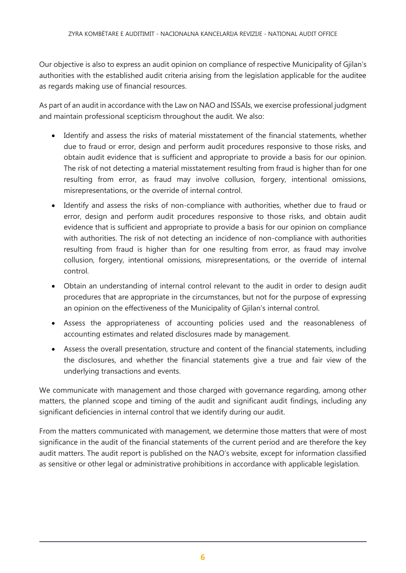Our objective is also to express an audit opinion on compliance of respective Municipality of Gjilan's authorities with the established audit criteria arising from the legislation applicable for the auditee as regards making use of financial resources.

As part of an audit in accordance with the Law on NAO and ISSAIs, we exercise professional judgment and maintain professional scepticism throughout the audit. We also:

- Identify and assess the risks of material misstatement of the financial statements, whether due to fraud or error, design and perform audit procedures responsive to those risks, and obtain audit evidence that is sufficient and appropriate to provide a basis for our opinion. The risk of not detecting a material misstatement resulting from fraud is higher than for one resulting from error, as fraud may involve collusion, forgery, intentional omissions, misrepresentations, or the override of internal control.
- Identify and assess the risks of non-compliance with authorities, whether due to fraud or error, design and perform audit procedures responsive to those risks, and obtain audit evidence that is sufficient and appropriate to provide a basis for our opinion on compliance with authorities. The risk of not detecting an incidence of non-compliance with authorities resulting from fraud is higher than for one resulting from error, as fraud may involve collusion, forgery, intentional omissions, misrepresentations, or the override of internal control.
- Obtain an understanding of internal control relevant to the audit in order to design audit procedures that are appropriate in the circumstances, but not for the purpose of expressing an opinion on the effectiveness of the Municipality of Gjilan's internal control.
- Assess the appropriateness of accounting policies used and the reasonableness of accounting estimates and related disclosures made by management.
- Assess the overall presentation, structure and content of the financial statements, including the disclosures, and whether the financial statements give a true and fair view of the underlying transactions and events.

We communicate with management and those charged with governance regarding, among other matters, the planned scope and timing of the audit and significant audit findings, including any significant deficiencies in internal control that we identify during our audit.

From the matters communicated with management, we determine those matters that were of most significance in the audit of the financial statements of the current period and are therefore the key audit matters. The audit report is published on the NAO's website, except for information classified as sensitive or other legal or administrative prohibitions in accordance with applicable legislation.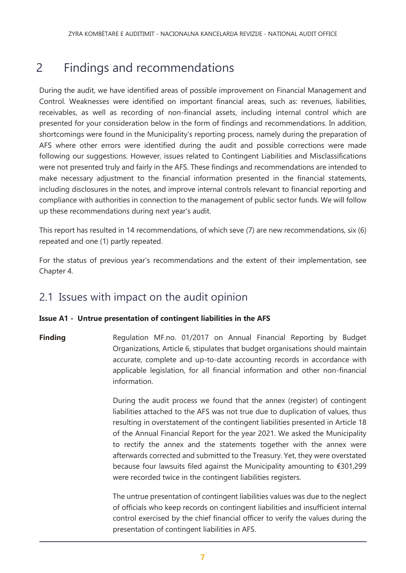# <span id="page-6-0"></span>2 Findings and recommendations

During the audit, we have identified areas of possible improvement on Financial Management and Control. Weaknesses were identified on important financial areas, such as: revenues, liabilities, receivables, as well as recording of non-financial assets, including internal control which are presented for your consideration below in the form of findings and recommendations. In addition, shortcomings were found in the Municipality's reporting process, namely during the preparation of AFS where other errors were identified during the audit and possible corrections were made following our suggestions. However, issues related to Contingent Liabilities and Misclassifications were not presented truly and fairly in the AFS. These findings and recommendations are intended to make necessary adjustment to the financial information presented in the financial statements, including disclosures in the notes, and improve internal controls relevant to financial reporting and compliance with authorities in connection to the management of public sector funds. We will follow up these recommendations during next year's audit.

This report has resulted in 14 recommendations, of which seve (7) are new recommendations, six (6) repeated and one (1) partly repeated.

For the status of previous year's recommendations and the extent of their implementation, see Chapter 4.

# 2.1 Issues with impact on the audit opinion

### **Issue A1 - Untrue presentation of contingent liabilities in the AFS**

**Finding** Regulation MF.no. 01/2017 on Annual Financial Reporting by Budget Organizations, Article 6, stipulates that budget organisations should maintain accurate, complete and up-to-date accounting records in accordance with applicable legislation, for all financial information and other non-financial information.

> During the audit process we found that the annex (register) of contingent liabilities attached to the AFS was not true due to duplication of values, thus resulting in overstatement of the contingent liabilities presented in Article 18 of the Annual Financial Report for the year 2021. We asked the Municipality to rectify the annex and the statements together with the annex were afterwards corrected and submitted to the Treasury. Yet, they were overstated because four lawsuits filed against the Municipality amounting to €301,299 were recorded twice in the contingent liabilities registers.

> The untrue presentation of contingent liabilities values was due to the neglect of officials who keep records on contingent liabilities and insufficient internal control exercised by the chief financial officer to verify the values during the presentation of contingent liabilities in AFS.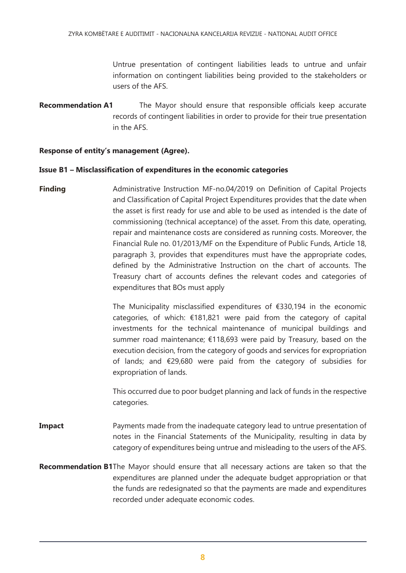Untrue presentation of contingent liabilities leads to untrue and unfair information on contingent liabilities being provided to the stakeholders or users of the AFS.

**Recommendation A1** The Mayor should ensure that responsible officials keep accurate records of contingent liabilities in order to provide for their true presentation in the AFS.

#### **Response of entity's management (Agree).**

#### **Issue B1 – Misclassification of expenditures in the economic categories**

**Finding** Administrative Instruction MF-no.04/2019 on Definition of Capital Projects and Classification of Capital Project Expenditures provides that the date when the asset is first ready for use and able to be used as intended is the date of commissioning (technical acceptance) of the asset. From this date, operating, repair and maintenance costs are considered as running costs. Moreover, the Financial Rule no. 01/2013/MF on the Expenditure of Public Funds, Article 18, paragraph 3, provides that expenditures must have the appropriate codes, defined by the Administrative Instruction on the chart of accounts. The Treasury chart of accounts defines the relevant codes and categories of expenditures that BOs must apply

> The Municipality misclassified expenditures of €330,194 in the economic categories, of which: €181,821 were paid from the category of capital investments for the technical maintenance of municipal buildings and summer road maintenance; €118,693 were paid by Treasury, based on the execution decision, from the category of goods and services for expropriation of lands; and €29,680 were paid from the category of subsidies for expropriation of lands.

> This occurred due to poor budget planning and lack of funds in the respective categories.

- **Impact** Payments made from the inadequate category lead to untrue presentation of notes in the Financial Statements of the Municipality, resulting in data by category of expenditures being untrue and misleading to the users of the AFS.
- **Recommendation B1**The Mayor should ensure that all necessary actions are taken so that the expenditures are planned under the adequate budget appropriation or that the funds are redesignated so that the payments are made and expenditures recorded under adequate economic codes.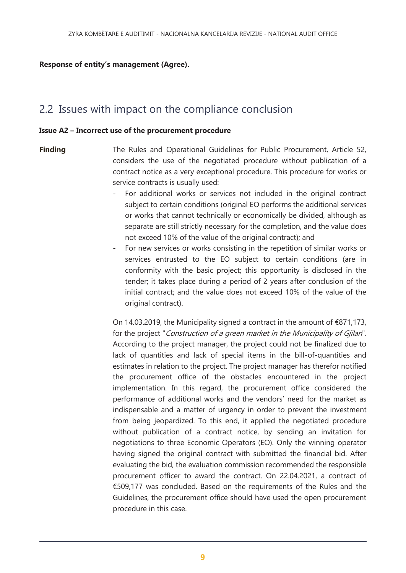#### **Response of entity's management (Agree).**

# 2.2 Issues with impact on the compliance conclusion

#### **Issue A2 – Incorrect use of the procurement procedure**

**Finding** The Rules and Operational Guidelines for Public Procurement, Article 52, considers the use of the negotiated procedure without publication of a contract notice as a very exceptional procedure. This procedure for works or service contracts is usually used:

- For additional works or services not included in the original contract subject to certain conditions (original EO performs the additional services or works that cannot technically or economically be divided, although as separate are still strictly necessary for the completion, and the value does not exceed 10% of the value of the original contract); and
- For new services or works consisting in the repetition of similar works or services entrusted to the EO subject to certain conditions (are in conformity with the basic project; this opportunity is disclosed in the tender; it takes place during a period of 2 years after conclusion of the initial contract; and the value does not exceed 10% of the value of the original contract).

On 14.03.2019, the Municipality signed a contract in the amount of €871,173, for the project "Construction of a green market in the Municipality of Gjilan". According to the project manager, the project could not be finalized due to lack of quantities and lack of special items in the bill-of-quantities and estimates in relation to the project. The project manager has therefor notified the procurement office of the obstacles encountered in the project implementation. In this regard, the procurement office considered the performance of additional works and the vendors' need for the market as indispensable and a matter of urgency in order to prevent the investment from being jeopardized. To this end, it applied the negotiated procedure without publication of a contract notice, by sending an invitation for negotiations to three Economic Operators (EO). Only the winning operator having signed the original contract with submitted the financial bid. After evaluating the bid, the evaluation commission recommended the responsible procurement officer to award the contract. On 22.04.2021, a contract of €509,177 was concluded. Based on the requirements of the Rules and the Guidelines, the procurement office should have used the open procurement procedure in this case.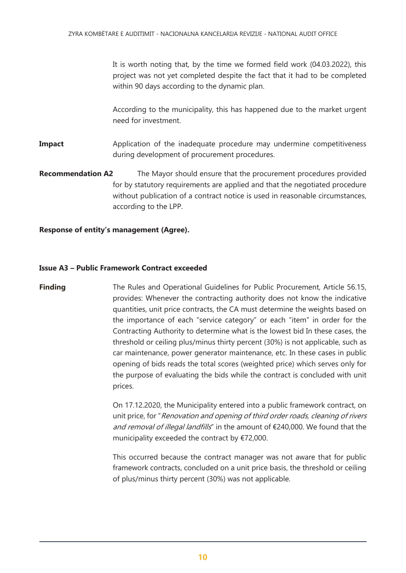It is worth noting that, by the time we formed field work (04.03.2022), this project was not yet completed despite the fact that it had to be completed within 90 days according to the dynamic plan.

According to the municipality, this has happened due to the market urgent need for investment.

- **Impact** Application of the inadequate procedure may undermine competitiveness during development of procurement procedures.
- **Recommendation A2** The Mayor should ensure that the procurement procedures provided for by statutory requirements are applied and that the negotiated procedure without publication of a contract notice is used in reasonable circumstances, according to the LPP.

#### **Response of entity's management (Agree).**

#### **Issue A3 – Public Framework Contract exceeded**

**Finding** The Rules and Operational Guidelines for Public Procurement, Article 56.15, provides: Whenever the contracting authority does not know the indicative quantities, unit price contracts, the CA must determine the weights based on the importance of each "service category" or each "item" in order for the Contracting Authority to determine what is the lowest bid In these cases, the threshold or ceiling plus/minus thirty percent (30%) is not applicable, such as car maintenance, power generator maintenance, etc. In these cases in public opening of bids reads the total scores (weighted price) which serves only for the purpose of evaluating the bids while the contract is concluded with unit prices.

> On 17.12.2020, the Municipality entered into a public framework contract, on unit price, for "Renovation and opening of third order roads, cleaning of rivers and removal of illegal landfills" in the amount of €240,000. We found that the municipality exceeded the contract by €72,000.

> This occurred because the contract manager was not aware that for public framework contracts, concluded on a unit price basis, the threshold or ceiling of plus/minus thirty percent (30%) was not applicable.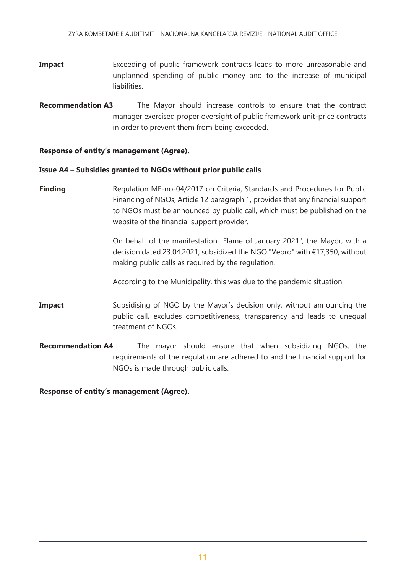- **Impact** Exceeding of public framework contracts leads to more unreasonable and unplanned spending of public money and to the increase of municipal liabilities.
- **Recommendation A3** The Mayor should increase controls to ensure that the contract manager exercised proper oversight of public framework unit-price contracts in order to prevent them from being exceeded.

#### **Response of entity's management (Agree).**

#### **Issue A4 – Subsidies granted to NGOs without prior public calls**

**Finding** Regulation MF-no-04/2017 on Criteria, Standards and Procedures for Public Financing of NGOs, Article 12 paragraph 1, provides that any financial support to NGOs must be announced by public call, which must be published on the website of the financial support provider.

> On behalf of the manifestation "Flame of January 2021", the Mayor, with a decision dated 23.04.2021, subsidized the NGO "Vepro" with €17,350, without making public calls as required by the regulation.

According to the Municipality, this was due to the pandemic situation.

- **Impact** Subsidising of NGO by the Mayor's decision only, without announcing the public call, excludes competitiveness, transparency and leads to unequal treatment of NGOs.
- **Recommendation A4** The mayor should ensure that when subsidizing NGOs, the requirements of the regulation are adhered to and the financial support for NGOs is made through public calls.

**Response of entity's management (Agree).**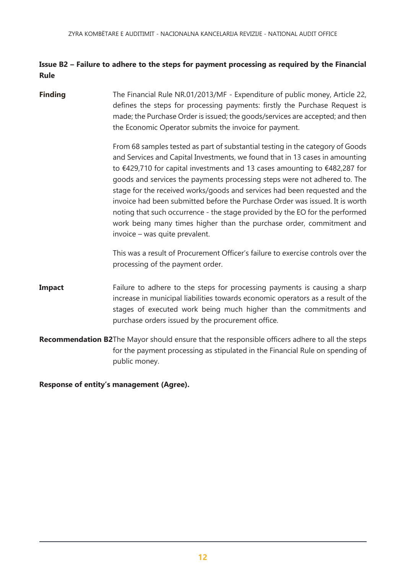### **Issue B2 – Failure to adhere to the steps for payment processing as required by the Financial Rule**

**Finding** The Financial Rule NR.01/2013/MF - Expenditure of public money, Article 22, defines the steps for processing payments: firstly the Purchase Request is made; the Purchase Order is issued; the goods/services are accepted; and then the Economic Operator submits the invoice for payment.

> From 68 samples tested as part of substantial testing in the category of Goods and Services and Capital Investments, we found that in 13 cases in amounting to €429,710 for capital investments and 13 cases amounting to €482,287 for goods and services the payments processing steps were not adhered to. The stage for the received works/goods and services had been requested and the invoice had been submitted before the Purchase Order was issued. It is worth noting that such occurrence - the stage provided by the EO for the performed work being many times higher than the purchase order, commitment and invoice – was quite prevalent.

> This was a result of Procurement Officer's failure to exercise controls over the processing of the payment order.

- **Impact** Failure to adhere to the steps for processing payments is causing a sharp increase in municipal liabilities towards economic operators as a result of the stages of executed work being much higher than the commitments and purchase orders issued by the procurement office.
- **Recommendation B2**The Mayor should ensure that the responsible officers adhere to all the steps for the payment processing as stipulated in the Financial Rule on spending of public money.

**Response of entity's management (Agree).**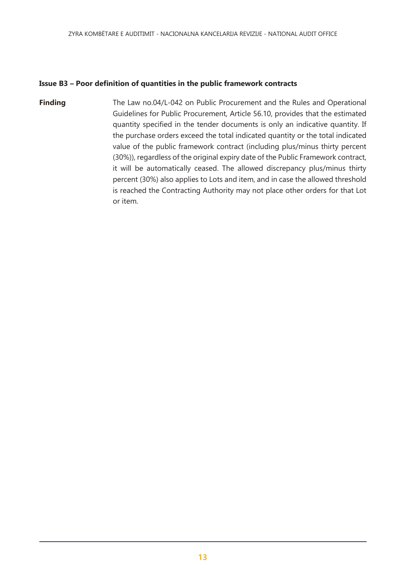#### **Issue B3 – Poor definition of quantities in the public framework contracts**

**Finding** The Law no.04/L-042 on Public Procurement and the Rules and Operational Guidelines for Public Procurement, Article 56.10, provides that the estimated quantity specified in the tender documents is only an indicative quantity. If the purchase orders exceed the total indicated quantity or the total indicated value of the public framework contract (including plus/minus thirty percent (30%)), regardless of the original expiry date of the Public Framework contract, it will be automatically ceased. The allowed discrepancy plus/minus thirty percent (30%) also applies to Lots and item, and in case the allowed threshold is reached the Contracting Authority may not place other orders for that Lot or item.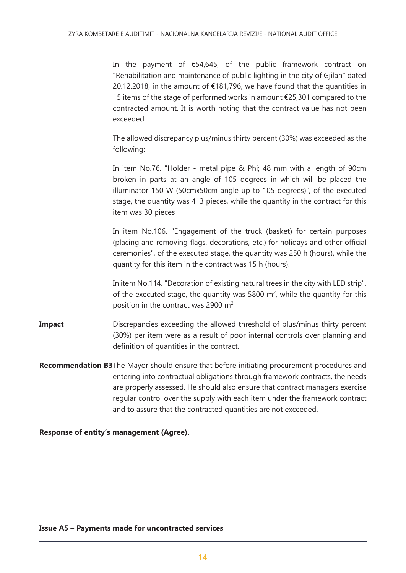In the payment of €54,645, of the public framework contract on "Rehabilitation and maintenance of public lighting in the city of Gjilan" dated 20.12.2018, in the amount of €181,796, we have found that the quantities in 15 items of the stage of performed works in amount €25,301 compared to the contracted amount. It is worth noting that the contract value has not been exceeded.

The allowed discrepancy plus/minus thirty percent (30%) was exceeded as the following:

In item No.76. "Holder - metal pipe & Phi; 48 mm with a length of 90cm broken in parts at an angle of 105 degrees in which will be placed the illuminator 150 W (50cmx50cm angle up to 105 degrees)", of the executed stage, the quantity was 413 pieces, while the quantity in the contract for this item was 30 pieces

In item No.106. "Engagement of the truck (basket) for certain purposes (placing and removing flags, decorations, etc.) for holidays and other official ceremonies", of the executed stage, the quantity was 250 h (hours), while the quantity for this item in the contract was 15 h (hours).

In item No.114. "Decoration of existing natural trees in the city with LED strip", of the executed stage, the quantity was 5800  $m^2$ , while the quantity for this position in the contract was 2900 m<sup>2.</sup>

**Impact** Discrepancies exceeding the allowed threshold of plus/minus thirty percent (30%) per item were as a result of poor internal controls over planning and definition of quantities in the contract.

**Recommendation B3**The Mayor should ensure that before initiating procurement procedures and entering into contractual obligations through framework contracts, the needs are properly assessed. He should also ensure that contract managers exercise regular control over the supply with each item under the framework contract and to assure that the contracted quantities are not exceeded.

**Response of entity's management (Agree).**

#### **Issue A5 – Payments made for uncontracted services**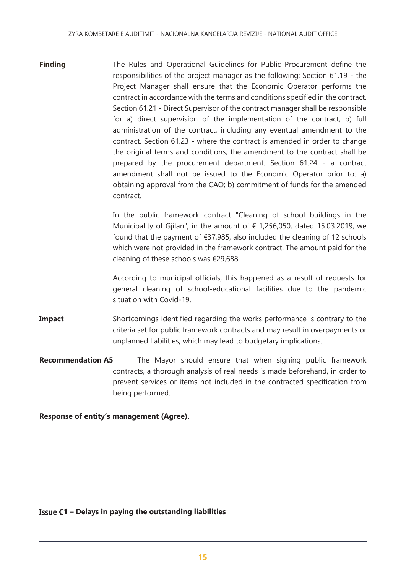**Finding** The Rules and Operational Guidelines for Public Procurement define the responsibilities of the project manager as the following: Section 61.19 - the Project Manager shall ensure that the Economic Operator performs the contract in accordance with the terms and conditions specified in the contract. Section 61.21 - Direct Supervisor of the contract manager shall be responsible for a) direct supervision of the implementation of the contract, b) full administration of the contract, including any eventual amendment to the contract. Section 61.23 - where the contract is amended in order to change the original terms and conditions, the amendment to the contract shall be prepared by the procurement department. Section 61.24 - a contract amendment shall not be issued to the Economic Operator prior to: a) obtaining approval from the CAO; b) commitment of funds for the amended contract.

> In the public framework contract "Cleaning of school buildings in the Municipality of Gjilan", in the amount of  $\epsilon$  1,256,050, dated 15.03.2019, we found that the payment of €37,985, also included the cleaning of 12 schools which were not provided in the framework contract. The amount paid for the cleaning of these schools was €29,688.

> According to municipal officials, this happened as a result of requests for general cleaning of school-educational facilities due to the pandemic situation with Covid-19.

- **Impact** Shortcomings identified regarding the works performance is contrary to the criteria set for public framework contracts and may result in overpayments or unplanned liabilities, which may lead to budgetary implications.
- **Recommendation A5** The Mayor should ensure that when signing public framework contracts, a thorough analysis of real needs is made beforehand, in order to prevent services or items not included in the contracted specification from being performed.

#### **Response of entity's management (Agree).**

#### **1 – Delays in paying the outstanding liabilities**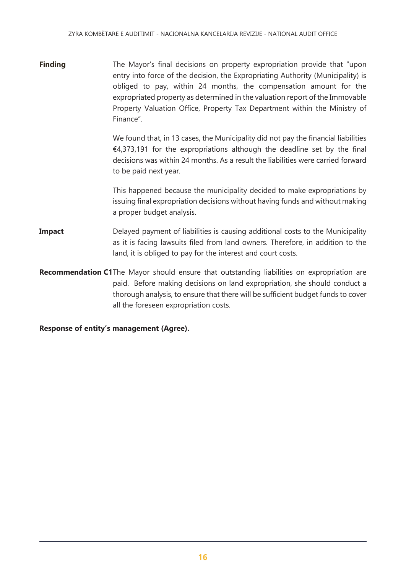**Finding** The Mayor's final decisions on property expropriation provide that "upon entry into force of the decision, the Expropriating Authority (Municipality) is obliged to pay, within 24 months, the compensation amount for the expropriated property as determined in the valuation report of the Immovable Property Valuation Office, Property Tax Department within the Ministry of Finance".

> We found that, in 13 cases, the Municipality did not pay the financial liabilities  $\epsilon$ 4,373,191 for the expropriations although the deadline set by the final decisions was within 24 months. As a result the liabilities were carried forward to be paid next year.

> This happened because the municipality decided to make expropriations by issuing final expropriation decisions without having funds and without making a proper budget analysis.

- **Impact** Delayed payment of liabilities is causing additional costs to the Municipality as it is facing lawsuits filed from land owners. Therefore, in addition to the land, it is obliged to pay for the interest and court costs.
- **Recommendation C1**The Mayor should ensure that outstanding liabilities on expropriation are paid. Before making decisions on land expropriation, she should conduct a thorough analysis, to ensure that there will be sufficient budget funds to cover all the foreseen expropriation costs.

**Response of entity's management (Agree).**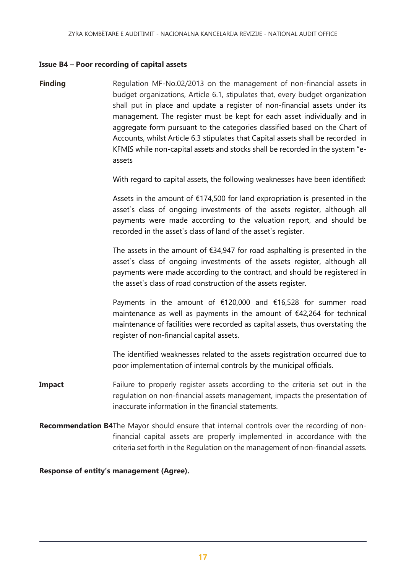#### **Issue B4 – Poor recording of capital assets**

**Finding Regulation MF-No.02/2013** on the management of non-financial assets in budget organizations, Article 6.1, stipulates that, every budget organization shall put in place and update a register of non-financial assets under its management. The register must be kept for each asset individually and in aggregate form pursuant to the categories classified based on the Chart of Accounts, whilst Article 6.3 stipulates that Capital assets shall be recorded in KFMIS while non-capital assets and stocks shall be recorded in the system "eassets

With regard to capital assets, the following weaknesses have been identified:

Assets in the amount of  $£174,500$  for land expropriation is presented in the asset`s class of ongoing investments of the assets register, although all payments were made according to the valuation report, and should be recorded in the asset`s class of land of the asset`s register.

The assets in the amount of  $\epsilon$ 34,947 for road asphalting is presented in the asset`s class of ongoing investments of the assets register, although all payments were made according to the contract, and should be registered in the asset`s class of road construction of the assets register.

Payments in the amount of €120,000 and €16,528 for summer road maintenance as well as payments in the amount of €42,264 for technical maintenance of facilities were recorded as capital assets, thus overstating the register of non-financial capital assets.

The identified weaknesses related to the assets registration occurred due to poor implementation of internal controls by the municipal officials.

- **Impact** Failure to properly register assets according to the criteria set out in the regulation on non-financial assets management, impacts the presentation of inaccurate information in the financial statements.
- **Recommendation B4**The Mayor should ensure that internal controls over the recording of nonfinancial capital assets are properly implemented in accordance with the criteria set forth in the Regulation on the management of non-financial assets.

**Response of entity's management (Agree).**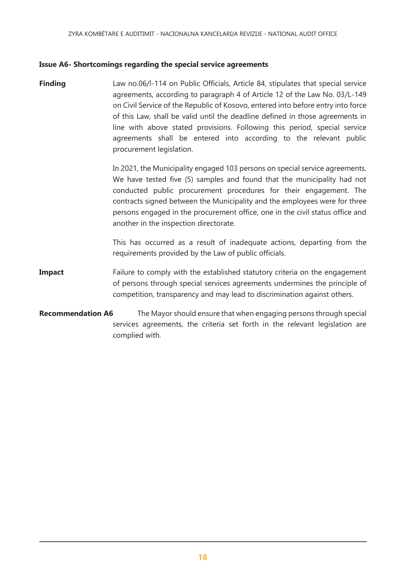#### **Issue A6- Shortcomings regarding the special service agreements**

**Finding Law no.06/l-114 on Public Officials, Article 84, stipulates that special service** agreements, according to paragraph 4 of Article 12 of the Law No. 03/L-149 on Civil Service of the Republic of Kosovo, entered into before entry into force of this Law, shall be valid until the deadline defined in those agreements in line with above stated provisions. Following this period, special service agreements shall be entered into according to the relevant public procurement legislation.

> In 2021, the Municipality engaged 103 persons on special service agreements. We have tested five (5) samples and found that the municipality had not conducted public procurement procedures for their engagement. The contracts signed between the Municipality and the employees were for three persons engaged in the procurement office, one in the civil status office and another in the inspection directorate.

> This has occurred as a result of inadequate actions, departing from the requirements provided by the Law of public officials.

- **Impact** Failure to comply with the established statutory criteria on the engagement of persons through special services agreements undermines the principle of competition, transparency and may lead to discrimination against others.
- **Recommendation A6** The Mayor should ensure that when engaging persons through special services agreements, the criteria set forth in the relevant legislation are complied with.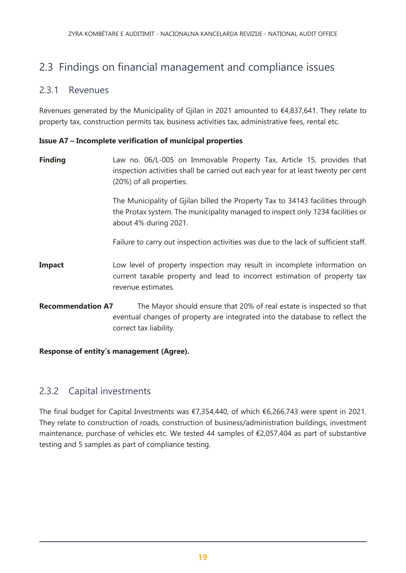# 2.3 Findings on financial management and compliance issues

# 2.3.1 Revenues

Revenues generated by the Municipality of Gjilan in 2021 amounted to €4,837,641. They relate to property tax, construction permits tax, business activities tax, administrative fees, rental etc.

### **Issue A7 – Incomplete verification of municipal properties**

**Finding Law no. 06/L-005 on Immovable Property Tax, Article 15, provides that** inspection activities shall be carried out each year for at least twenty per cent (20%) of all properties.

> The Municipality of Gjilan billed the Property Tax to 34143 facilities through the Protax system. The municipality managed to inspect only 1234 facilities or about 4% during 2021.

> Failure to carry out inspection activities was due to the lack of sufficient staff.

- **Impact** Low level of property inspection may result in incomplete information on current taxable property and lead to incorrect estimation of property tax revenue estimates.
- **Recommendation A7** The Mayor should ensure that 20% of real estate is inspected so that eventual changes of property are integrated into the database to reflect the correct tax liability.

### **Response of entity's management (Agree).**

# 2.3.2 Capital investments

The final budget for Capital Investments was €7,354,440, of which €6,266,743 were spent in 2021. They relate to construction of roads, construction of business/administration buildings, investment maintenance, purchase of vehicles etc. We tested 44 samples of €2,057,404 as part of substantive testing and 5 samples as part of compliance testing.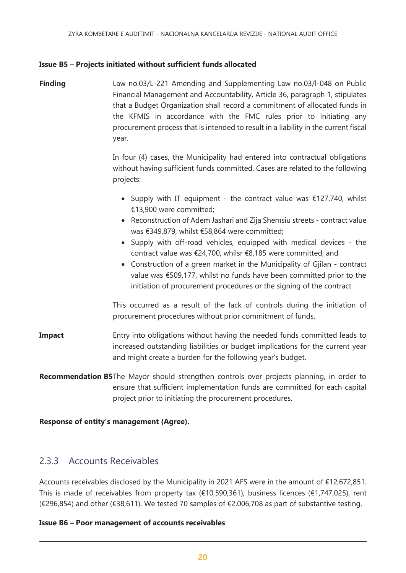#### **Issue B5 – Projects initiated without sufficient funds allocated**

**Finding** Law no.03/L-221 Amending and Supplementing Law no.03/l-048 on Public Financial Management and Accountability, Article 36, paragraph 1, stipulates that a Budget Organization shall record a commitment of allocated funds in the KFMIS in accordance with the FMC rules prior to initiating any procurement process that is intended to result in a liability in the current fiscal year.

> In four (4) cases, the Municipality had entered into contractual obligations without having sufficient funds committed. Cases are related to the following projects:

- Supply with IT equipment the contract value was  $\epsilon$ 127,740, whilst €13,900 were committed;
- Reconstruction of Adem Jashari and Zija Shemsiu streets contract value was €349,879, whilst €58,864 were committed;
- Supply with off-road vehicles, equipped with medical devices the contract value was €24,700, whilsr €8,185 were committed; and
- Construction of a green market in the Municipality of Gjilan contract value was €509,177, whilst no funds have been committed prior to the initiation of procurement procedures or the signing of the contract

This occurred as a result of the lack of controls during the initiation of procurement procedures without prior commitment of funds.

- **Impact** Entry into obligations without having the needed funds committed leads to increased outstanding liabilities or budget implications for the current year and might create a burden for the following year's budget.
- **Recommendation B5**The Mayor should strengthen controls over projects planning, in order to ensure that sufficient implementation funds are committed for each capital project prior to initiating the procurement procedures.

#### **Response of entity's management (Agree).**

# 2.3.3 Accounts Receivables

Accounts receivables disclosed by the Municipality in 2021 AFS were in the amount of €12,672,851. This is made of receivables from property tax ( $\epsilon$ 10,590,361), business licences ( $\epsilon$ 1,747,025), rent (€296,854) and other (€38,611). We tested 70 samples of €2,006,708 as part of substantive testing.

#### **Issue B6 – Poor management of accounts receivables**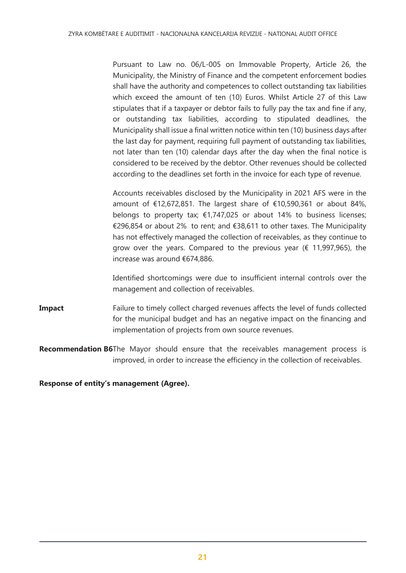Pursuant to Law no. 06/L-005 on Immovable Property, Article 26, the Municipality, the Ministry of Finance and the competent enforcement bodies shall have the authority and competences to collect outstanding tax liabilities which exceed the amount of ten (10) Euros. Whilst Article 27 of this Law stipulates that if a taxpayer or debtor fails to fully pay the tax and fine if any, or outstanding tax liabilities, according to stipulated deadlines, the Municipality shall issue a final written notice within ten (10) business days after the last day for payment, requiring full payment of outstanding tax liabilities, not later than ten (10) calendar days after the day when the final notice is considered to be received by the debtor. Other revenues should be collected according to the deadlines set forth in the invoice for each type of revenue.

Accounts receivables disclosed by the Municipality in 2021 AFS were in the amount of €12,672,851. The largest share of €10,590,361 or about 84%, belongs to property tax;  $\epsilon$ 1,747,025 or about 14% to business licenses; €296,854 or about 2% to rent; and €38,611 to other taxes. The Municipality has not effectively managed the collection of receivables, as they continue to grow over the years. Compared to the previous year ( $\epsilon$  11,997,965), the increase was around €674,886.

Identified shortcomings were due to insufficient internal controls over the management and collection of receivables.

- **Impact** Failure to timely collect charged revenues affects the level of funds collected for the municipal budget and has an negative impact on the financing and implementation of projects from own source revenues.
- **Recommendation B6**The Mayor should ensure that the receivables management process is improved, in order to increase the efficiency in the collection of receivables.

#### <span id="page-20-0"></span>**Response of entity's management (Agree).**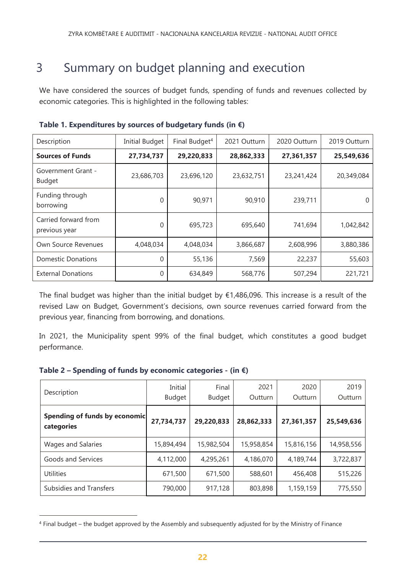# 3 Summary on budget planning and execution

We have considered the sources of budget funds, spending of funds and revenues collected by economic categories. This is highlighted in the following tables:

| Description                                | <b>Initial Budget</b> | Final Budget <sup>4</sup> | 2021 Outturn | 2020 Outturn | 2019 Outturn |
|--------------------------------------------|-----------------------|---------------------------|--------------|--------------|--------------|
| <b>Sources of Funds</b>                    | 27,734,737            | 29,220,833                | 28,862,333   | 27,361,357   | 25,549,636   |
| <b>Government Grant -</b><br><b>Budget</b> | 23,686,703            | 23,696,120                | 23,632,751   | 23,241,424   | 20,349,084   |
| Funding through<br>borrowing               | 0                     | 90,971                    | 90,910       | 239,711      | $\Omega$     |
| Carried forward from<br>previous year      | 0                     | 695,723                   | 695,640      | 741,694      | 1,042,842    |
| Own Source Revenues                        | 4,048,034             | 4,048,034                 | 3,866,687    | 2,608,996    | 3,880,386    |
| <b>Domestic Donations</b>                  | 0                     | 55,136                    | 7,569        | 22,237       | 55,603       |
| <b>External Donations</b>                  | 0                     | 634,849                   | 568,776      | 507,294      | 221,721      |

**Table 1. Expenditures by sources of budgetary funds (in €)**

The final budget was higher than the initial budget by  $£1,486,096$ . This increase is a result of the revised Law on Budget, Government's decisions, own source revenues carried forward from the previous year, financing from borrowing, and donations.

In 2021, the Municipality spent 99% of the final budget, which constitutes a good budget performance.

 $\overline{a}$ 

| Description                                 | Initial<br>Budget | Final<br>Budget | 2021<br>Outturn | 2020<br>Outturn | 2019<br>Outturn |
|---------------------------------------------|-------------------|-----------------|-----------------|-----------------|-----------------|
| Spending of funds by economic<br>categories | 27,734,737        | 29,220,833      | 28,862,333      | 27,361,357      | 25,549,636      |
| Wages and Salaries                          | 15,894,494        | 15,982,504      | 15,958,854      | 15,816,156      | 14,958,556      |
| Goods and Services                          | 4,112,000         | 4,295,261       | 4,186,070       | 4,189,744       | 3,722,837       |
| <b>Utilities</b>                            | 671,500           | 671,500         | 588,601         | 456,408         | 515,226         |
| Subsidies and Transfers                     | 790,000           | 917,128         | 803,898         | 1,159,159       | 775,550         |

<sup>4</sup> Final budget – the budget approved by the Assembly and subsequently adjusted for by the Ministry of Finance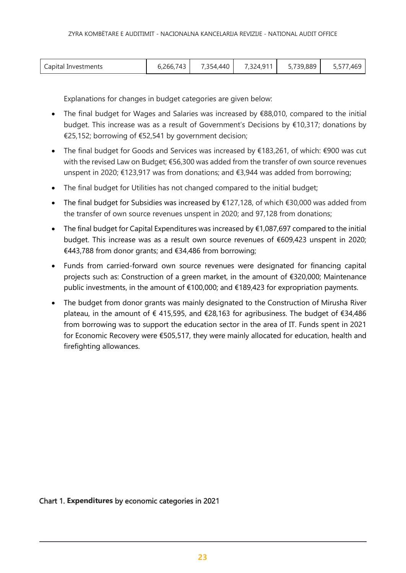| Capital Investments | 6,266,743 | 7,354,440 | 7,324,911 | 5,739,889 | 5,577,469 |
|---------------------|-----------|-----------|-----------|-----------|-----------|
|---------------------|-----------|-----------|-----------|-----------|-----------|

Explanations for changes in budget categories are given below:

- The final budget for Wages and Salaries was increased by €88,010, compared to the initial budget. This increase was as a result of Government's Decisions by €10,317; donations by €25,152; borrowing of €52,541 by government decision;
- The final budget for Goods and Services was increased by €183,261, of which: €900 was cut with the revised Law on Budget; €56,300 was added from the transfer of own source revenues unspent in 2020; €123,917 was from donations; and €3,944 was added from borrowing;
- The final budget for Utilities has not changed compared to the initial budget;
- The final budget for Subsidies was increased by €127,128, of which €30,000 was added from the transfer of own source revenues unspent in 2020; and 97,128 from donations;
- The final budget for Capital Expenditures was increased by €1,087,697 compared to the initial budget. This increase was as a result own source revenues of €609,423 unspent in 2020; €443,788 from donor grants; and €34,486 from borrowing;
- Funds from carried-forward own source revenues were designated for financing capital projects such as: Construction of a green market, in the amount of €320,000; Maintenance public investments, in the amount of  $\epsilon$ 100,000; and  $\epsilon$ 189,423 for expropriation payments.
- The budget from donor grants was mainly designated to the Construction of Mirusha River plateau, in the amount of € 415,595, and €28,163 for agribusiness. The budget of €34,486 from borrowing was to support the education sector in the area of IT. Funds spent in 2021 for Economic Recovery were €505,517, they were mainly allocated for education, health and firefighting allowances.

Chart 1. **Expenditures** by economic categories in 2021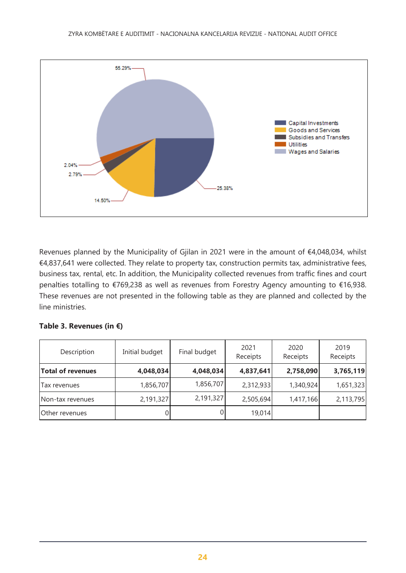

Revenues planned by the Municipality of Gjilan in 2021 were in the amount of €4,048,034, whilst €4,837,641 were collected. They relate to property tax, construction permits tax, administrative fees, business tax, rental, etc. In addition, the Municipality collected revenues from traffic fines and court penalties totalling to €769,238 as well as revenues from Forestry Agency amounting to €16,938. These revenues are not presented in the following table as they are planned and collected by the line ministries.

|  | Table 3. Revenues (in $\epsilon$ ) |  |  |
|--|------------------------------------|--|--|
|--|------------------------------------|--|--|

<span id="page-23-0"></span>

| Description              | Initial budget | Final budget | 2021<br>Receipts | 2020<br>Receipts | 2019<br>Receipts |
|--------------------------|----------------|--------------|------------------|------------------|------------------|
| <b>Total of revenues</b> | 4,048,034      | 4,048,034    | 4,837,641        | 2,758,090        | 3,765,119        |
| Tax revenues             | 1,856,707      | 1,856,707    | 2,312,933        | 1,340,924        | 1,651,323        |
| Non-tax revenues         | 2,191,327      | 2,191,327    | 2,505,694        | 1,417,166        | 2,113,795        |
| Other revenues           |                | 0            | 19,014           |                  |                  |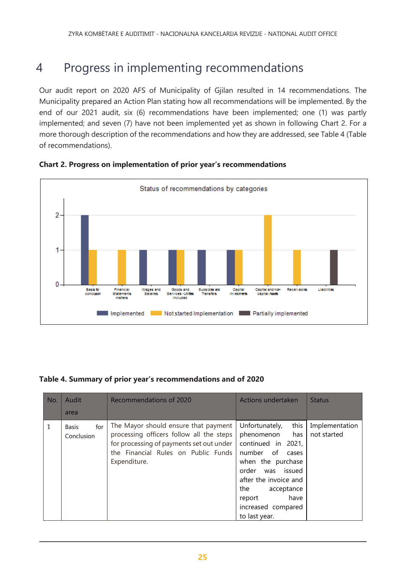# 4 Progress in implementing recommendations

Our audit report on 2020 AFS of Municipality of Gjilan resulted in 14 recommendations. The Municipality prepared an Action Plan stating how all recommendations will be implemented. By the end of our 2021 audit, six (6) recommendations have been implemented; one (1) was partly implemented; and seven (7) have not been implemented yet as shown in following Chart 2. For a more thorough description of the recommendations and how they are addressed, see Table 4 (Table of recommendations).



# **Chart 2. Progress on implementation of prior year's recommendations**

### **Table 4. Summary of prior year's recommendations and of 2020**

| No.          | Audit                             | Recommendations of 2020                                                                                                                                                             | Actions undertaken                                                                                                                                                                                                                         | <b>Status</b>                 |
|--------------|-----------------------------------|-------------------------------------------------------------------------------------------------------------------------------------------------------------------------------------|--------------------------------------------------------------------------------------------------------------------------------------------------------------------------------------------------------------------------------------------|-------------------------------|
|              | area                              |                                                                                                                                                                                     |                                                                                                                                                                                                                                            |                               |
| $\mathbf{1}$ | for<br><b>Basis</b><br>Conclusion | The Mayor should ensure that payment<br>processing officers follow all the steps<br>for processing of payments set out under<br>the Financial Rules on Public Funds<br>Expenditure. | this<br>Unfortunately,<br>phenomenon<br>has<br>continued in 2021,<br>number of<br>cases<br>when the purchase<br>was issued<br>order<br>after the invoice and<br>the<br>acceptance<br>have<br>report<br>increased compared<br>to last year. | Implementation<br>not started |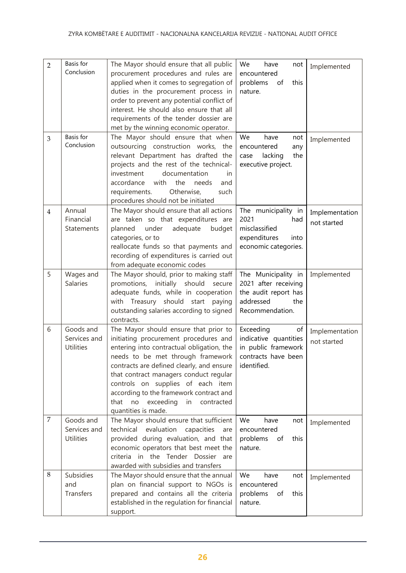| $\overline{2}$ | Basis for<br>Conclusion                       | The Mayor should ensure that all public<br>procurement procedures and rules are<br>applied when it comes to segregation of<br>duties in the procurement process in<br>order to prevent any potential conflict of<br>interest. He should also ensure that all                                                                                                                                                 | We<br>have<br>not<br>encountered<br>problems<br>of<br>this<br>nature.                                      | Implemented                   |
|----------------|-----------------------------------------------|--------------------------------------------------------------------------------------------------------------------------------------------------------------------------------------------------------------------------------------------------------------------------------------------------------------------------------------------------------------------------------------------------------------|------------------------------------------------------------------------------------------------------------|-------------------------------|
| 3              | Basis for<br>Conclusion                       | requirements of the tender dossier are<br>met by the winning economic operator.<br>The Mayor should ensure that when<br>outsourcing construction works, the<br>relevant Department has drafted the<br>projects and the rest of the technical-<br>investment<br>documentation<br>in<br>with<br>accordance<br>the<br>needs<br>and<br>Otherwise,<br>requirements.<br>such<br>procedures should not be initiated | We<br>have<br>not<br>any<br>encountered<br>lacking<br>the<br>case<br>executive project.                    | Implemented                   |
| $\overline{4}$ | Annual<br>Financial<br><b>Statements</b>      | The Mayor should ensure that all actions<br>are taken so that expenditures are<br>planned<br>adequate<br>budget<br>under<br>categories, or to<br>reallocate funds so that payments and<br>recording of expenditures is carried out<br>from adequate economic codes                                                                                                                                           | The municipality in<br>2021<br>had<br>misclassified<br>expenditures<br>into<br>economic categories.        | Implementation<br>not started |
| 5              | Wages and<br><b>Salaries</b>                  | The Mayor should, prior to making staff<br>promotions, initially should<br>secure<br>adequate funds, while in cooperation<br>Treasury should start<br>paying<br>with<br>outstanding salaries according to signed<br>contracts.                                                                                                                                                                               | The Municipality in<br>2021 after receiving<br>the audit report has<br>addressed<br>the<br>Recommendation. | Implemented                   |
| 6              | Goods and<br>Services and<br><b>Utilities</b> | The Mayor should ensure that prior to<br>initiating procurement procedures and<br>entering into contractual obligation, the<br>needs to be met through framework<br>contracts are defined clearly, and ensure<br>that contract managers conduct regular<br>controls on supplies of each item<br>according to the framework contract and<br>no exceeding in contracted<br>that<br>quantities is made.         | Exceeding<br>of<br>indicative quantities<br>in public framework<br>contracts have been<br>identified.      | Implementation<br>not started |
| $\overline{7}$ | Goods and<br>Services and<br><b>Utilities</b> | The Mayor should ensure that sufficient<br>technical<br>evaluation<br>capacities<br>are<br>provided during evaluation, and that<br>economic operators that best meet the<br>criteria in the Tender Dossier are<br>awarded with subsidies and transfers                                                                                                                                                       | We<br>have<br>not<br>encountered<br>problems<br>of<br>this<br>nature.                                      | Implemented                   |
| 8              | Subsidies<br>and<br>Transfers                 | The Mayor should ensure that the annual<br>plan on financial support to NGOs is<br>prepared and contains all the criteria<br>established in the regulation for financial<br>support.                                                                                                                                                                                                                         | We<br>have<br>not<br>encountered<br>problems<br>this<br>of<br>nature.                                      | Implemented                   |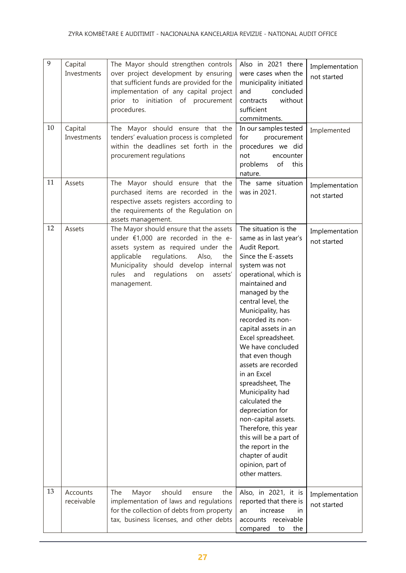| 9  | Capital<br>Investments | The Mayor should strengthen controls<br>over project development by ensuring<br>that sufficient funds are provided for the<br>implementation of any capital project<br>prior to initiation of procurement<br>procedures.                                                     | Also in 2021 there<br>were cases when the<br>municipality initiated<br>and<br>concluded<br>without<br>contracts<br>sufficient<br>commitments.                                                                                                                                                                                                                                                                                                                                                                                                                                                           | Implementation<br>not started |
|----|------------------------|------------------------------------------------------------------------------------------------------------------------------------------------------------------------------------------------------------------------------------------------------------------------------|---------------------------------------------------------------------------------------------------------------------------------------------------------------------------------------------------------------------------------------------------------------------------------------------------------------------------------------------------------------------------------------------------------------------------------------------------------------------------------------------------------------------------------------------------------------------------------------------------------|-------------------------------|
| 10 | Capital<br>Investments | The Mayor should ensure that the<br>tenders' evaluation process is completed<br>within the deadlines set forth in the<br>procurement regulations                                                                                                                             | In our samples tested<br>for<br>procurement<br>procedures we did<br>not<br>encounter<br>of<br>problems<br>this<br>nature.                                                                                                                                                                                                                                                                                                                                                                                                                                                                               | Implemented                   |
| 11 | Assets                 | The Mayor should ensure that the<br>purchased items are recorded in the<br>respective assets registers according to<br>the requirements of the Regulation on<br>assets management.                                                                                           | The same situation<br>was in 2021.                                                                                                                                                                                                                                                                                                                                                                                                                                                                                                                                                                      | Implementation<br>not started |
| 12 | Assets                 | The Mayor should ensure that the assets<br>under $£1,000$ are recorded in the e-<br>assets system as required under the<br>applicable<br>regulations.<br>Also,<br>the<br>should develop internal<br>Municipality<br>rules and<br>regulations<br>on<br>assets'<br>management. | The situation is the<br>same as in last year's<br>Audit Report.<br>Since the E-assets<br>system was not<br>operational, which is<br>maintained and<br>managed by the<br>central level, the<br>Municipality, has<br>recorded its non-<br>capital assets in an<br>Excel spreadsheet.<br>We have concluded<br>that even though<br>assets are recorded<br>in an Excel<br>spreadsheet, The<br>Municipality had<br>calculated the<br>depreciation for<br>non-capital assets.<br>Therefore, this year<br>this will be a part of<br>the report in the<br>chapter of audit<br>opinion, part of<br>other matters. | Implementation<br>not started |
| 13 | Accounts<br>receivable | should<br>The<br>Mayor<br>ensure<br>the<br>implementation of laws and regulations<br>for the collection of debts from property<br>tax, business licenses, and other debts                                                                                                    | Also, in 2021, it is<br>reported that there is<br>increase<br>an<br>in.<br>accounts receivable<br>compared<br>to<br>the                                                                                                                                                                                                                                                                                                                                                                                                                                                                                 | Implementation<br>not started |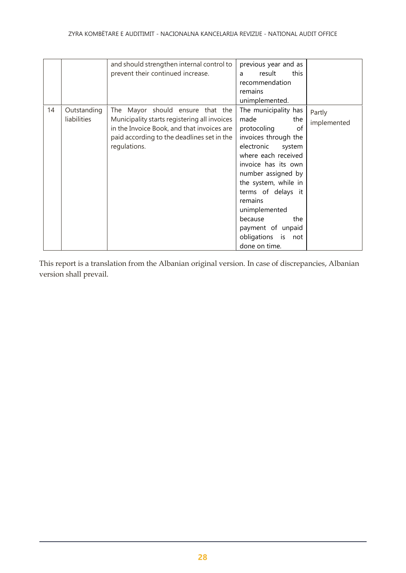|    |                            | and should strengthen internal control to<br>prevent their continued increase.                                                                                                               | previous year and as<br>result<br>this<br>a<br>recommendation<br>remains<br>unimplemented.                                                                                                                                                                                                                                                 |                       |
|----|----------------------------|----------------------------------------------------------------------------------------------------------------------------------------------------------------------------------------------|--------------------------------------------------------------------------------------------------------------------------------------------------------------------------------------------------------------------------------------------------------------------------------------------------------------------------------------------|-----------------------|
| 14 | Outstanding<br>liabilities | The Mayor should ensure that the<br>Municipality starts registering all invoices<br>in the Invoice Book, and that invoices are<br>paid according to the deadlines set in the<br>regulations. | The municipality has<br>made<br>the<br>protocoling<br>of<br>invoices through the<br>electronic<br>system<br>where each received<br>invoice has its own<br>number assigned by<br>the system, while in<br>terms of delays it<br>remains<br>unimplemented<br>because<br>the<br>payment of unpaid<br>obligations<br>is<br>not<br>done on time. | Partly<br>implemented |

This report is a translation from the Albanian original version. In case of discrepancies, Albanian version shall prevail.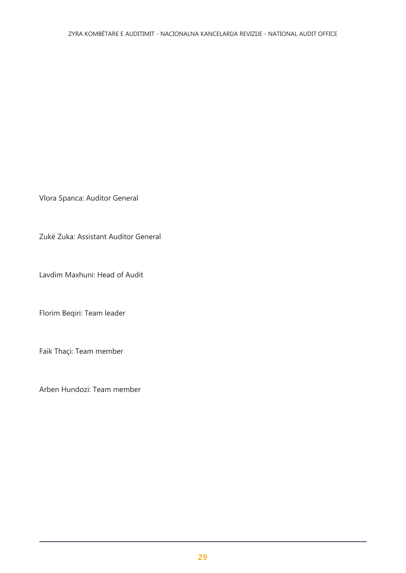Vlora Spanca: Auditor General

Zukë Zuka: Assistant Auditor General

Lavdim Maxhuni: Head of Audit

Florim Beqiri: Team leader

Faik Thaçi: Team member

Arben Hundozi: Team member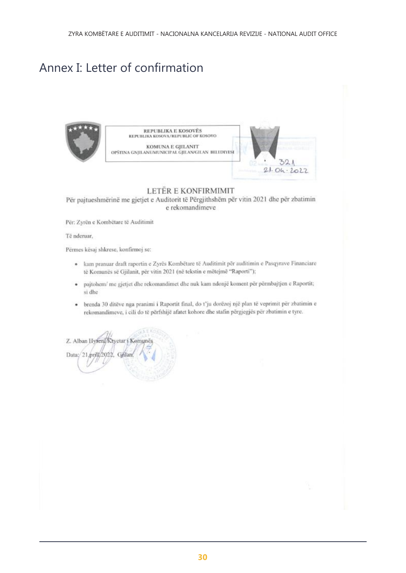# Annex I: Letter of confirmation



Për pajtueshmërinë me gjetjet e Auditorit të Përgjithshëm për vitin 2021 dhe për zbatimin e rekomandimeve

Për: Zyrën e Kombëtare të Auditimit

Të nderuar.

Përmes kësaj shkrese, konfirmoj se:

- · kam pranuar draft raportin e Zyrës Kombëtare të Auditimit për auditimin e Pasqyrave Financiare të Komunës së Gjilanit, për vitin 2021 (në tekstin e mëtejmë "Raporti");
- · pajtohem/ me gjetjet dhe rekomandimet dhe nuk kam ndonjë koment për përmbajtjen e Raportit; si dhe
- · brenda 30 ditëve nga pranimi i Raportit final, do t'ju dorëzoj një plan të veprimit për zbatimin e rekomandimeve, i cili do të përfshijë afatet kohore dhe stafin përgjegjës për zbatimin e tyre.

Z. Alban Hyseni/Kryetar i Komunë Data:/21.prill/2022, Grilar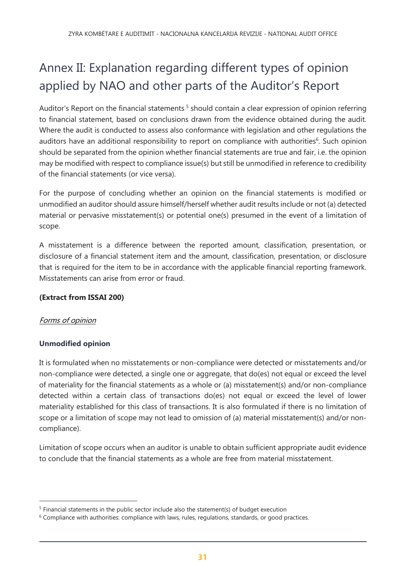# Annex II: Explanation regarding different types of opinion applied by NAO and other parts of the Auditor's Report

Auditor's Report on the financial statements<sup>5</sup> should contain a clear expression of opinion referring to financial statement, based on conclusions drawn from the evidence obtained during the audit. Where the audit is conducted to assess also conformance with legislation and other regulations the auditors have an additional responsibility to report on compliance with authorities<sup>6</sup>. Such opinion should be separated from the opinion whether financial statements are true and fair, i.e. the opinion may be modified with respect to compliance issue(s) but still be unmodified in reference to credibility of the financial statements (or vice versa).

For the purpose of concluding whether an opinion on the financial statements is modified or unmodified an auditor should assure himself/herself whether audit results include or not (a) detected material or pervasive misstatement(s) or potential one(s) presumed in the event of a limitation of scope.

A misstatement is a difference between the reported amount, classification, presentation, or disclosure of a financial statement item and the amount, classification, presentation, or disclosure that is required for the item to be in accordance with the applicable financial reporting framework. Misstatements can arise from error or fraud.

### **(Extract from ISSAI 200)**

# Forms of opinion

 $\overline{a}$ 

### **Unmodified opinion**

It is formulated when no misstatements or non-compliance were detected or misstatements and/or non-compliance were detected, a single one or aggregate, that do(es) not equal or exceed the level of materiality for the financial statements as a whole or (a) misstatement(s) and/or non-compliance detected within a certain class of transactions do(es) not equal or exceed the level of lower materiality established for this class of transactions. It is also formulated if there is no limitation of scope or a limitation of scope may not lead to omission of (a) material misstatement(s) and/or noncompliance).

Limitation of scope occurs when an auditor is unable to obtain sufficient appropriate audit evidence to conclude that the financial statements as a whole are free from material misstatement.

<sup>&</sup>lt;sup>5</sup> Financial statements in the public sector include also the statement(s) of budget execution

 $6$  Compliance with authorities: compliance with laws, rules, regulations, standards, or good practices.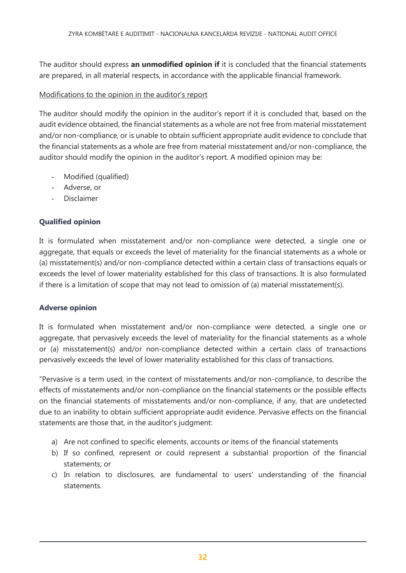The auditor should express **an unmodified opinion if** it is concluded that the financial statements are prepared, in all material respects, in accordance with the applicable financial framework.

### Modifications to the opinion in the auditor's report

The auditor should modify the opinion in the auditor's report if it is concluded that, based on the audit evidence obtained, the financial statements as a whole are not free from material misstatement and/or non-compliance, or is unable to obtain sufficient appropriate audit evidence to conclude that the financial statements as a whole are free from material misstatement and/or non-compliance, the auditor should modify the opinion in the auditor's report. A modified opinion may be:

- Modified (qualified)
- Adverse, or
- **Disclaimer**

### **Qualified opinion**

It is formulated when misstatement and/or non-compliance were detected, a single one or aggregate, that equals or exceeds the level of materiality for the financial statements as a whole or (a) misstatement(s) and/or non-compliance detected within a certain class of transactions equals or exceeds the level of lower materiality established for this class of transactions. It is also formulated if there is a limitation of scope that may not lead to omission of (a) material misstatement(s).

#### **Adverse opinion**

It is formulated when misstatement and/or non-compliance were detected, a single one or aggregate, that pervasively exceeds the level of materiality for the financial statements as a whole or (a) misstatement(s) and/or non-compliance detected within a certain class of transactions pervasively exceeds the level of lower materiality established for this class of transactions.

"Pervasive is a term used, in the context of misstatements and/or non-compliance, to describe the effects of misstatements and/or non-compliance on the financial statements or the possible effects on the financial statements of misstatements and/or non-compliance, if any, that are undetected due to an inability to obtain sufficient appropriate audit evidence. Pervasive effects on the financial statements are those that, in the auditor's judgment:

- a) Are not confined to specific elements, accounts or items of the financial statements
- b) If so confined, represent or could represent a substantial proportion of the financial statements; or
- c) In relation to disclosures, are fundamental to users' understanding of the financial statements.